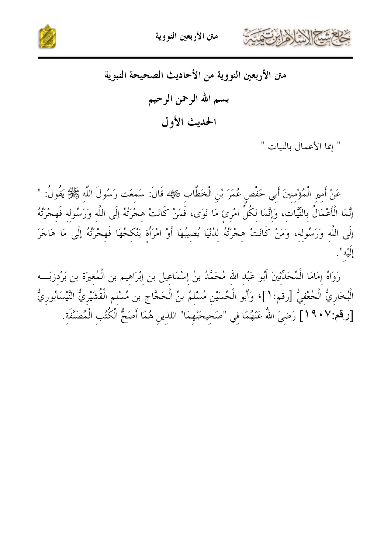



" إنما الأعمال بالنيات "

عَنْ أَمِيرِ الْمُؤْمِنِينَ أَبِي حَفْصٍ عُمَرَ بْنِ الْخَطَّابِ رَخَيُّهُمْ قَالَ: سَمعْت رَسُولَ اللّه ﷺ يَقُولُ: " إِنَّمَا الْأَعْمَالُ بِالنِّيَّات، وَإِنَّمَا لكُلِّ امْرِئ مَا نَوَى، فَمَنْ كَانَتْ هِجْرَتُهُ إِلَى اللَّه وَرَسُولِه فَهِجْرَتُهُ إِلَى اللَّه وَرَسُوله، وَمَنْ كَانَتْ هجْرَتُهُ لدُنْيَا يُصِيبُهَا أَوْ امْرَأَة يَنْكِحُهَا فَهِجْرَتُهُ إِلَى مَا هَاجَرَ إِلَيْه".

رَوَاهُ إِمَامَا الْمُحَدِّثينَ أَبُو عَبْد الله مُحَمَّدُ بنُ إِسْمَاعيل بن إِبْرَاهِيم بن الْمُغِيرَة بن بَرْدِزبَـــه الْبُخَارِيُّ الْجُعْفِيُّ [رقم: ١]، وَأَبُو الْحُسَيْنِ مُسْلِمٌ بنُ الْحَجَّاجِ بن مُسْلِم الْقُشَيْرِيُّ النَّيْسَابُورِيُّ [رقم:٩٠٧] رَضِيَ اللّهُ عَنْهُمَا فِي "صَحِيحَيْهِمَا" اللذِينِ هُمَا أَصَحُّ الْكُتُبِ الْمُصَنَّفَةِ.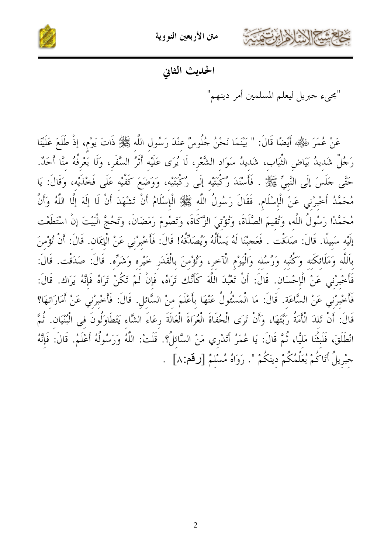



الحديث الثاني

"مجيء جبريل ليعلم المسلمين أمر دينهم"

عَنْ عُمَرَ ضَيْلِيَّهُ أَيْضًا قَالَ: " بَيْنَمَا نَحْنُ جُلُوسٌ عنْدَ رَسُول اللَّه ﷺ ذَاتَ يَوْم، إذْ طَلَعَ عَلَيْنَا رَجُلٌ شَدِيدُ بَيَاضِ الثِّيَابِ، شَديدُ سَوَاد الشَّعْرِ، لَا يُرَى عَلَيْه أَثَرُ السَّفَرِ، وَلَا يَعْرفُهُ منَّا أَحَدٌ. حَتَّى جَلَسَ إِلَى النَّبِيِّ ﷺ . فَأَسْنَدَ رُكْبَتَيْه إِلَى رُكْبَتَيْه، وَوَضَعَ كَفَّيْه عَلَى فَخْذَيْهِ، وَقَالَ: يَا مُحَمَّدُ أَخْبِرْني عَنْ الْإِسْلَامِ. فَقَالَ رَسُولُ اللَّه ﷺ الْإِسْلَامُ أَنْ تَشْهَدَ أَنْ لَا إِلَهَ إِلَّا اللَّهُ وَأَنَّ مُحَمَّدًا رَسُولُ اللَّهِ، وَتُقيمَ الصَّلَاةَ، وَتُؤْتيَ الزَّكَاةَ، وَتَصُومَ رَمَضَانَ، وَتَحُجَّ الْبَيْتَ إنْ اسْتَطَعْت إِلَيْه سَبِيلًا. قَالَ: صَدَقْت . فَعَجبْنَا لَهُ يَسْأَلُهُ وَيُصَدِّقُهُ! قَالَ: فَأَخْبِرْني عَنْ الْإِيمَان. قَالَ: أَنْ تُؤْمنَ بِاَللَّهِ وَمَلَائِكَتِهِ وَكُتُبِهِ وَرُسُلِهِ وَالْيَوْمِ الْآخر، وَتُؤْمنَ بِالْقَدَرِ خَيْره وَشَرِّه. قَالَ: صَدَقْت. قَالَ: فَأَخْبِرْنِي عَنْ الْإِحْسَانِ. قَالَ: أَنْ تَعْبُدَ اللَّهَ كَأَنَّك تَرَاهُ، فَإِنْ لَمْ تَكُنْ تَرَاهُ فَإِنَّهُ يَرَاك قَالَ: فَأَخْبِرْني عَنْ السَّاعَة. قَالَ: مَا الْمَسْئُولُ عَنْهَا بِأَعْلَمَ منْ السَّائل. قَالَ: فَأَخْبِرْني عَنْ أَمَارَاتهَا؟ قَالَ: أَنْ تَلدَ الْأَمَةُ رَبَّتَهَا، وَأَنْ تَرَى الْحُفَاةَ الْعُرَاةَ الْعَالَةَ رِعَاءَ الشَّاء يَتَطَاوَلُونَ في الْبُنْيَان. ثُمَّ انْطَلَقَ، فَلَبِثْنَا مَلَيًّا، ثُمَّ قَالَ: يَا عُمَرُ أَتَدْرِي مَنْ السَّائلُ؟. قَلَتْ: اللَّهُ وَرَسُولُهُ أَعْلَمُ. قَالَ: فَإِنَّهُ جبْريلُ أَتَاكُمْ يُعَلِّمُكُمْ دينَكُمْ ". رَوَاهُ مُسْلمٌ [رقم:٨] .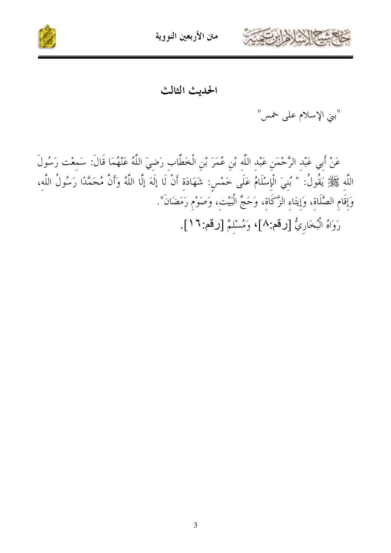



الحديث الثالث

"بني الإسلام على خمس"

عَنْ أَبِي عَبْدِ الرَّحْمَنِ عَبْدِ اللَّهِ بْنِ عُمَرَ بْنِ الْخَطَّابِ رَضِيَ اللَّهُ عَنْهُمَا قَالَ: سَمِعْت رَسُولَ اللَّهِ ﷺ يَقُولُ: " بُنِيَ الْإِسْلَامُ عَلَى خَمْسٍ: شَهَادَةِ أَنْ لَا إِلَهَ إِلَّا اللَّهُ وَأَنَّ مُحَمَّدًا رَسُولُ اللَّه، وَإِقَامِ الصَّلَاةِ، وَإِيتَاءِ الزَّكَاةِ، وَحَجِّ الْبَيْتِ، وَصَوْمٍ رَمَضَانَ". رَوَاهُ الْبُخَارِيُّ [رقم:٨]، وَمُسْلَمٌ [رقم: ١٦].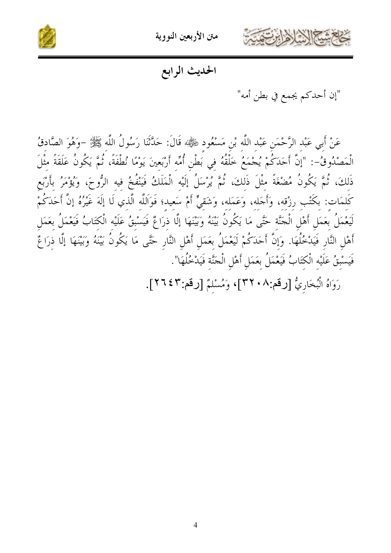

متن الأربعين النووية



الحديث الرابع

"إن أحدكم يجمع في بطن أمه"

عَنْ أَبِي عَبْدِ الرَّحْمَنِ عَبْدِ اللَّهِ بْنِ مَسْعُودٍ رَضِّيُّهُ قَالَ: حَدَّثَنَا رَسُولُ اللَّه ﷺ –وَهُوَ الصَّادقُ الْمَصْدُوقُ-: "إنَّ أَحَدَكُمْ يُجْمَعُ خَلْقُهُ فِي بَطْنِ أُمِّه أَرْبَعينَ يَوْمًا نُطْفَةً، ثُمَّ يَكُونُ عَلَقَةً مثْلَ ذَلكَ، ثُمَّ يَكُونُ مُضْغَةً مثْلَ ذَلكَ، ثُمَّ يُرْسَلُ إِلَيْه الْمَلَكُ فَيَنْفُخُ فيه الرُّوحَ، وَيُؤْمَر كَلمَات: بكُتْب رزْقه، وَأَجَله، وَعَمَله، وَشَقيٍّ أَمْ سَعيد؛ فَوَاللَّه الَّذي لَا إِلَهَ غَيْرُهُ إِنَّ أَحَدَكُمْ لَيَعْمَلُ بِعَمَلٍ أَهْلِ الْجَنَّة حَتَّى مَا يَكُونُ بَيْنَهُ وَبَيْنَهَا إِلَّا ذِرَاعٌ فَيَسْبِقُ عَلَيْه الْكتَابُ فَيَعْمَلُ بِعَمَلِ أَهْلِ النَّارِ فَيَدْخُلُهَا. وَإِنَّ أَحَدَكُمْ لَيَعْمَلُ بِعَمَلٍ أَهْلِ النَّارِ حَتَّى مَا يَكُونُ بَيْنَهُ وَبَيْنَهَا إِلَّا ذرَاعٌ فَيَسْبِقُ عَلَيْهِ الْكِتَابُ فَيَعْمَلُ بِعَمَلِ أَهْلِ الْحَنَّةِ فَيَدْخُلُهَا".

رَوَاهُ الْبُخَارِيُّ [رقم:٢٢٠٨]، وَمُسْلَمٌ [رقم:٢٢٢].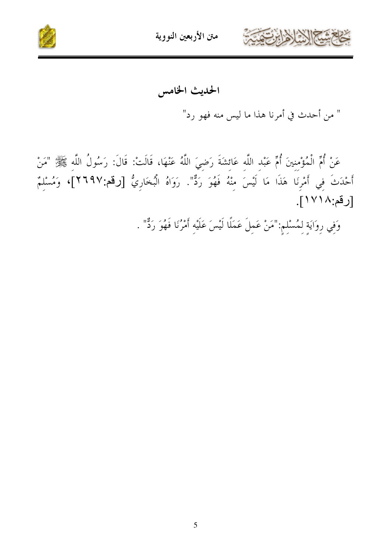



الحديث الخامس

" من أحدث في أمرنا هذا ما ليس منه فهو رد"

عَنْ أُمِّ الْمُؤْمِنِينَ أُمٍّ عَبْدِ اللَّهِ عَائِشَةَ رَضِيَ اللَّهُ عَنْهَا، قَالَتْ: قَالَ: رَسُولُ اللَّهِ ﷺ "مَنْ أَحْدَثَ في أَمْرِنَا هَذَا مَا لَيْسَ مِنْهُ فَهُوَ رَدٌّ". رَوَاهُ الْبُخَارِيُّ [رقم:٢٦٩٧]، وَمُسْلِمٌ [رقم:١٧١٨].

وَفِي رِوَايَةِ لِمُسْلِمٍ:"مَنْ عَمِلَ عَمَلًا لَيْسَ عَلَيْه أَمْرُنَا فَهُوَ رَدٌّ" .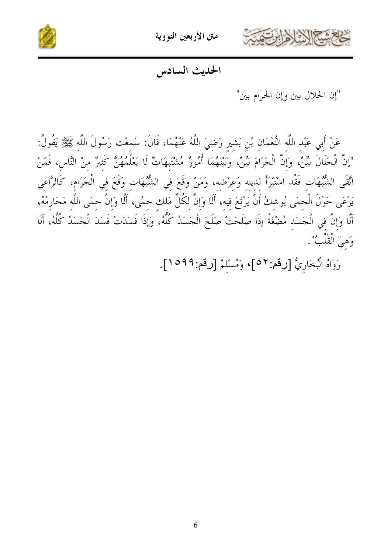



الحديث السادس

"إن الحلال بين وإن الحرام بين"

عَنْ أَبِي عَبْدِ اللَّهِ النُّعْمَانِ بْنِ بَشيرِ رَضِيَ اللَّهُ عَنْهُمَا، قَالَ: سَمعْت رَسُولَ اللَّه ﷺ يَقُولُ: "إنَّ الْحَلَالَ بَيِّنٌ، وَإِنَّ الْحَرَامَ بَيِّنٌ، وَبَيْنَهُمَا أُمُورٌ مُشْتَبِهَاتٌ لَا يَعْلَمُهُنَّ كَثيرٌ منْ النَّاس، فَمَنْ اتَّقَى الشُّبُهَات فَقْد اسْتَبْرَأَ لدينه وَعرْضه، وَمَنْ وَقَعَ في الشُّبُهَات وَقَعَ في الْحَرَام، كَالرَّاعي يَرْعَى حَوْلَ الْحمَى يُوشكُ أَنْ يَرْتَعَ فيه، أَلَا وَإِنَّ لكُلِّ مَلك حمًى، أَلَّا وَإِنَّ حمَى اللَّه مَحَارمُهُ، أَلَّا وَإِنَّ فِي الْجَسَد مُضْغَةً إذَا صَلَحَتْ صَلَحَ الْجَسَدُ كُلُّهُ، وَإِذَا فَسَدَتْ فَسَدَ الْجَسَدُ كُلُّهُ، أَلَا وَهِيَ الْقَلْبُ".

رَوَاهُ الْبُخَارِيُّ [رقم:٥٢]، وَمُسْلَمٌ [رقم:٩٩٩/ ].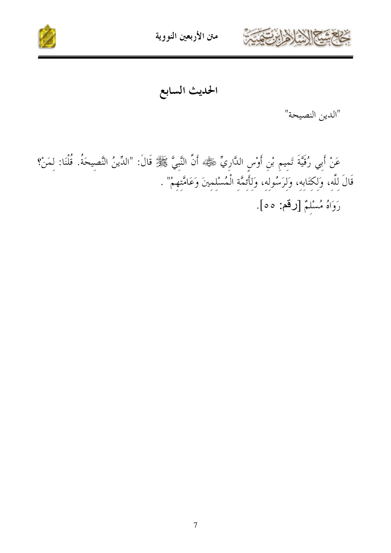



الحديث السابع

"الدين النصيحة"

عَنْ أَبِي رُقَيَّةَ تَمِيمٍ بْنِ أَوْسٍ الدَّارِيِّ ﷺ وَاللَّهِيَّ ﷺ قَالَ: "الدِّينُ النَّصِيحَةُ. قُلْنَا: لِمَنْ؟ قَالَ لِلَّهِ، وَلِكِتَابِهِ، وَلِرَسُولِهِ، وَلِأَئِمَّةِ الْمُسْلِمِينَ وَعَامَّتِهِمْ" . رَوَاهُ مُسْلِمٌ [رقم: ٥٥].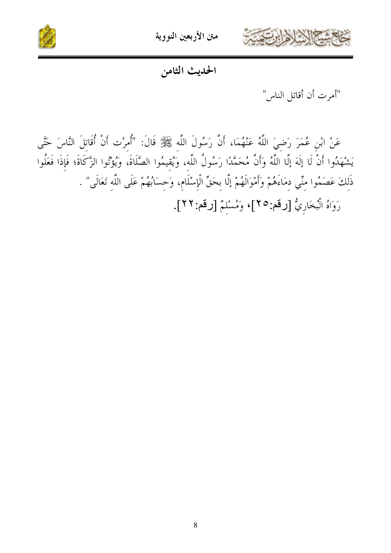

متن الأربعين النووية



#### الحديث الثامن

"أمرت أن أقاتل الناس"

عَنْ ابْنِ عُمَرَ رَضِيَ اللَّهُ عَنْهُمَا، أَنَّ رَسُولَ اللَّه ﷺ قَالَ: "أُمرْت أَنْ أُقَاتلَ النَّاسَ حَتَّى يَشْهَدُوا أَنْ لَا إِلَهَ إِلَّا اللَّهُ وَأَنَّ مُحَمَّدًا رَسُولُ اللَّه، وَيُقيمُوا الصَّلَاةَ، وَيُؤْتُوا الزَّكَاةَ؛ فَإِذَا فَعَلُوا ذَلكَ عَصَمُوا منِّي دمَاءَهُمْ وَأَمْوَالَهُمْ إِلَّا بحَقِّ الْإِسْلَامِ، وَحسَابُهُمْ عَلَى اللَّه تَعَالَى" . رَوَاهُ الْبُخَارِيُّ [رقم:٢٥]، وَمُسْلَمٌ [رقم:٢٢].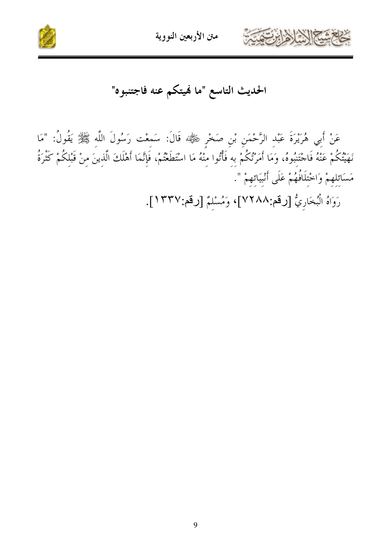



الحديث التاسع "ما نميتكم عنه فاجتنبوه"

عَنْ أَبِي هُرَيْرَةَ عَبْدِ الرَّحْمَنِ بْنِ صَخْرِ رَهِيٌّ» قَالَ: سَمِعْت رَسُولَ اللَّهِ ﷺ يَقُولُ: "مَا نَهَيْتُكُمْ عَنْهُ فَاحْتَنِبُوهُ، وَمَا أَمَرْتُكُمْ بِهِ فَأْتُوا مِنْهُ مَا اسْتَطَعْتُمْ، فَإِنَّمَا أَهْلَكَ الَّذِينَ مِنْ قَبْلِكُمْ كَثْرَةُ مَسَائِلِهِمْ وَاخْتِلَافُهُمْ عَلَى أَنْبِيَائِهِمْ ". رَوَاهُ الْبُخَارِيُّ [رقم:٧٢٨٨]، وَمُسْلِمٌ [رقم:١٣٣٧].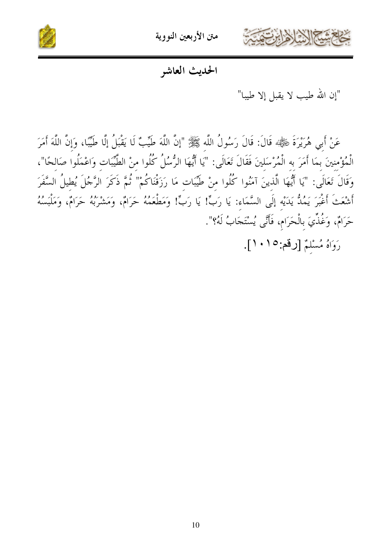

متن الأربعين النووية



الحديث العاشو

"إن الله طيب لا يقبل إلا طيبا"

عَنْ أَبِي هُرَيْرَةَ شَيْءٌ قَالَ: قَالَ رَسُولُ اللَّه ﷺ "إنَّ اللَّهَ طَيِّبٌ لَا يَقْبَلُ إِلَّا طَيِّبًا، وَإِنَّ اللَّهَ أَمَرَ الْمُؤْمنينَ بمَا أَمَرَ به الْمُرْسَلينَ فَقَالَ تَعَالَى: "يَا أَيُّهَا الرُّسُلُ كُلُوا منْ الطَّيِّبَات وَاعْمَلُوا صَالحًا"، وَقَالَ تَعَالَى: "يَا أَيُّهَا الَّذينَ آمَنُوا كُلُوا منْ طَيِّبَات مَا رَزَقْنَاكُمْ" ثُمَّ ذَكَرَ الرَّجُلَ يُطيلُ السَّفَرَ أَشْعَتْ أَغْبَرَ يَمُكُّ يَدَيْه إِلَى السَّمَاء: يَا رَبٍّ! يَا رَبٍّ! وَمَطْعَمُهُ حَرَامٌ، وَمَشْرَبُهُ حَرَامٌ، وَمَلْبَسُهُ حَرَامٌ، وَغُذِّيَ بِالْحَرَامِ، فَأَنَّى يُسْتَجَابُ لَهُ؟".

رَوَاهُ مُسْلَمٌ [رقم:١٠١].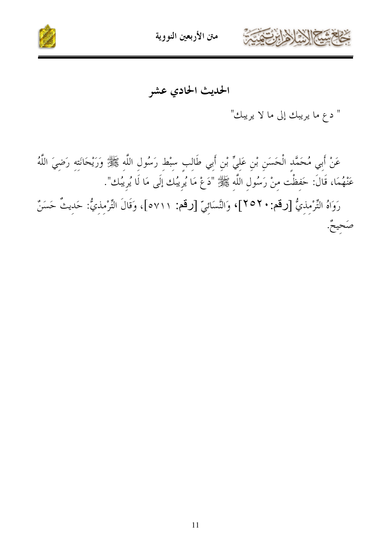



الحديث الحادي عشر

" دع ما يريبك إلى ما لا يريبك"

عَنْ أَبِي مُحَمَّدٍ الْحَسَنِ بْنِ عَلِيٍّ بْنِ أَبِي طَالِبِ سِبْطِ رَسُولِ اللَّهِ ﷺ وَرَيْحَانَتِهِ رَضِيَ اللَّهُ عَنْهُمَا، قَالَ: حَفِظْت مِنْ رَسُولِ اللَّهِ ﷺ "دَعْ مَا يُرِيبُك إلَى مَا لَا يُرِيبُك". رَوَاهُ التِّرْمِذِيُّ [رقم: ٢٥٢]، وَالنَّسَائِيّ [رقم: ٥٧١١]، وَقَالَ التِّرْمِذِيُّ: حَديثٌ حَسَنٌ صَحيحٌ.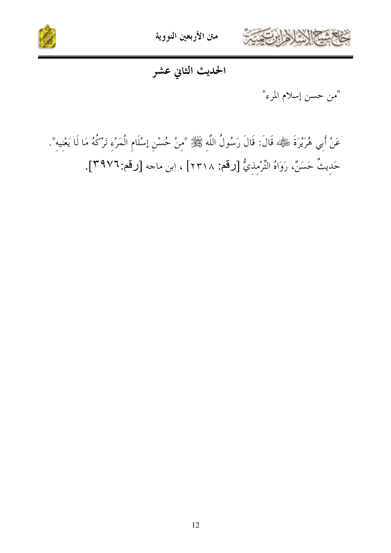



الحديث الثاني عشر

"من حسن إسلام المرء"

عَنْ أَبِي هُرَيْرَةَ شَيْءٌ:» قَالَ: قَالَ رَسُولُ اللَّهِ ﷺ" "مِنْ حُسْنِ إسْلَامِ الْمَرْءِ تَرْكُهُ مَا لَا يَعْنِيه". حَدِيثٌ حَسَنٌ، رَوَاهُ التِّرْمِذيُّ [رقم: ٢٣١٨] ، ابن ماجه [رقم:٣٩٧٦].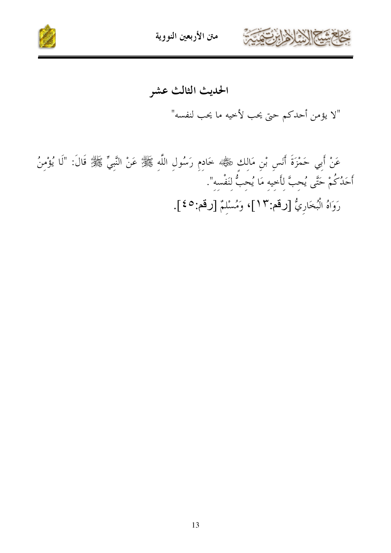



عَنْ أَبِي حَمْزَةَ أَنَسٍ بْنِ مَالِكٍ رَضِيًّا خَادِمٍ رَسُولِ اللَّهِ ﷺ عَنْ النَّبِيِّ ﷺ قَالَ: "لَا يُؤْمِنُ أَحَلُكُمْ حَتَّى يُحِبَّ لِأَحِيهِ مَا يُحِبُّ لِنَفْسِهِ". رَوَاهُ الْبُخَارِيُّ [رقم:١٣]، وَمُسْلِمٌ [رقم:٤٥].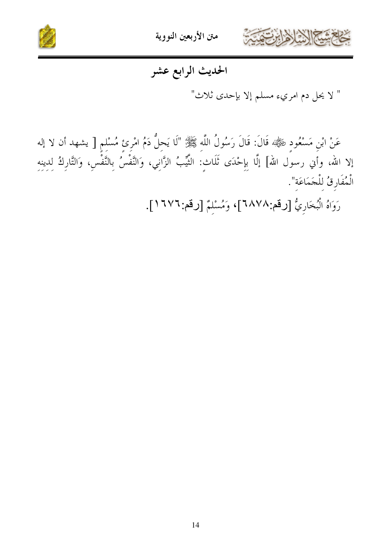



## الحديث الرابع عشر

" لا يحل دم امريء مسلم إلا بإحدى ثلاث"

عَنْ ابْنِ مَسْعُودٍ ﷺ، قَالَ: قَالَ رَسُولُ اللَّهِ ﷺ "لَا يَحِلُّ دَمُ امْرِئِ مُسْلِمٍ [ يشهد أن لا إله إلا الله، وأَنِي رسوِّل الله] إلَّا بِإِحْدَى ثَلَاثٍ: الثَّيِّبُ الزَّانِي، وَالنَّفْسُ بِالنَّفْسِ، وَالتَّارِكُ لدينه الْمُفَارِقُ لِلْجَمَاعَةِ".

رَوَاهُ الْبُخَارِيُّ [رقم:٢٨٧٨]، وَمُسْلِمٌ [رقم: ٢٧٢١].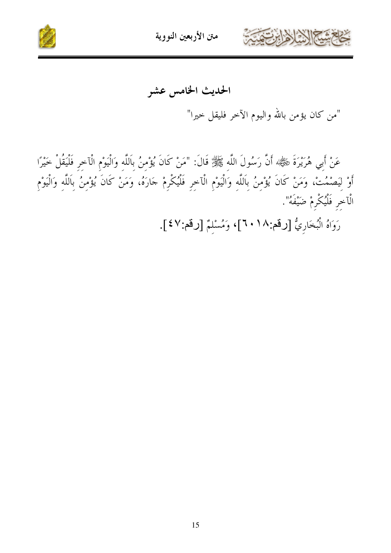



الحديث الخامس عشر

"من كان يؤمن بالله واليوم الآخر فليقل خيرا"

عَنْ أَبِي هُرَيْرَةَ نَحْظَةٌ أَنَّ رَسُولَ اللَّهِ ﷺ قَالَ: "مَنْ كَانَ يُؤْمِنُ بِاَللَّهِ وَالْيَوْمِ الْآخِرِ فَلْيَقُلْ خَيْرًا أَوْ لِيَصْمُتْ، وَمَنْ كَانَ يُؤْمِنُ بِاَللَّهِ وَالْيَوْمِ الْآخِرِ فَلْيُكْرِمْ جَارَهُ، وَمَنْ كَانَ يُؤْمِنُ بِاَللَّهِ وَالْيَوْمِ الْآخر فَلْيُكْرِمْ ضَيْفَهُ".

رَوَاهُ الْبُخَارِيُّ [رقم:١٨٠]، وَمُسْلِمٌ [رقم:٤٧].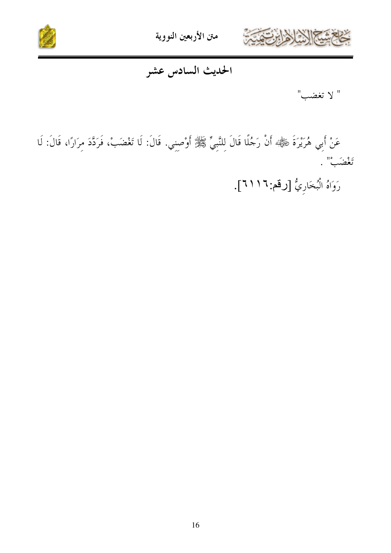



### الحديث السادس عشر

" لا تغضب"

عَنْ أَبِي هُرَيْرَةَ ڜَلْهِيْه أَنْ رَجُلًا قَالَ لِلنَّبِيِّ ﷺ أَوْصِنِي. قَالَ: لَا تَغْضَبْ، فَرَدَّدَ مِرَارًا، قَالَ: لَا تَعْضَبْ".

رَوَاهُ الْبُخَارِيُّ [رقم: ١ / ٢١].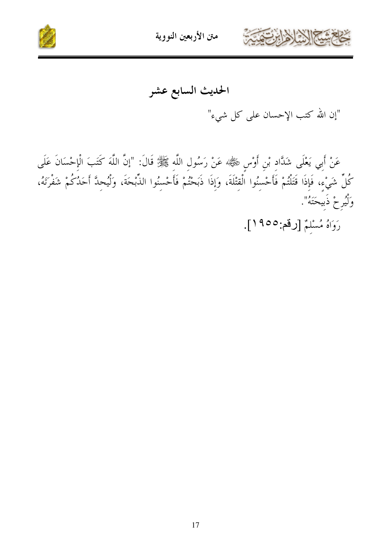



"إن الله كتب الإحسان على كل شيء"

عَنْ أَبِي يَعْلَى شَدَّادٍ بْنِ أَوْسٍ ﷺ، عَنْ رَسُولِ اللَّهِ ﷺ قَالَ: "إنَّ اللَّهَ كَتَبَ الْإِحْسَانَ عَلَى كُلِّ شَيْءٍ، فَإِذَا قَتَلْتُمْ فَأَحْسِنُوا الْقِتْلَةَ، وَإِذَا ذَبَحْتُمْ فَأَحْسِنُوا الذُّبْحَةَ، وَلْيُحِدَّ أَحَدُكُمْ شَفْرَتَهُ، وَلْيُرِحْ ذَبِيحَتَهُ".

رَوَاهُ مُسْلَمٌ [رقم:٥٥٥].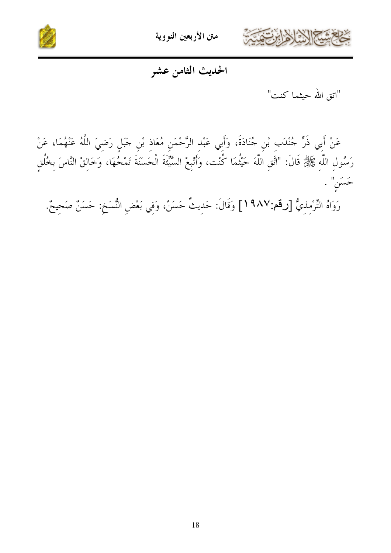



#### الحديث الثامن عشر

"اتق الله حيثما كنت"

عَنْ أَبِي ذَرٍّ جُنْدَبٍ بْنِ جُنَادَةَ، وَأَبِي عَبْدِ الرَّحْمَنِ مُعَاذِ بْنِ جَبَلٍ رَضِيَ اللَّهُ عَنْهُمَا، عَنْ رَسُولِ اللَّهِ ﷺ قَالَ: "اَتَّقِ اللَّهَ حَيْثُمَا كُنْت، وأَتْبِعْ السَّيِّئَةَ الْحَسَنَةَ تَمْحُهَا، وَخَالِقْ النَّاسَ بِخُلُقٍ حَسَنِ" .

رَوَاهُ التِّرْمِذِيُّ [رقم:٩٨٧] وَقَالَ: حَدِيثٌ حَسَنٌ، وَفِي بَعْضِ النُّسَخِ: حَسَنٌ صَحِيحٌ.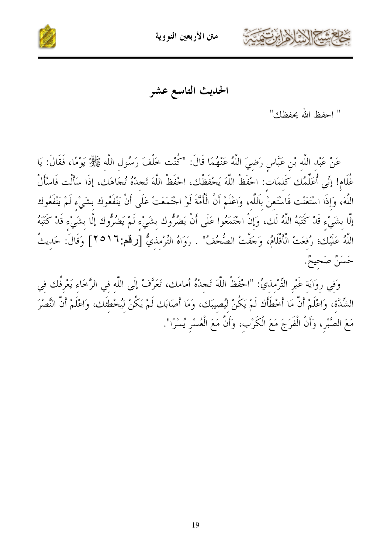



الحديث التاسع عشر

" احفظ الله يحفظك"

عَنْ عَبْدِ اللَّهِ بْنِ عَبَّاسٍ رَضِيَ اللَّهُ عَنْهُمَا قَالَ: "كُنْت خَلْفَ رَسُولِ اللَّهِ ﷺ يَوْمًا، فَقَالَ: يَا غُلَام! إنِّي أُعَلِّمُك كَلمَات: احْفَظْ اللَّهَ يَحْفَظْك، احْفَظْ اللَّهَ تَجدُهُ تُجَاهَك، إِذَا سَأَلْت فَاسْأَلْ اللَّهَ، وَإِذَا اسْتَعَنْت فَاسْتَعنْ بِاَللَّه، وَاعْلَمْ أَنَّ الْأُمَّةَ لَوْ اجْتَمَعَتْ عَلَى أَنْ يَنْفَعُوك بشَيْء لَمْ يَنْفَعُوك إِلَّا بشَيْءٍ قَدْ كَتَبَهُ اللَّهُ لَك، وَإِنْ اجْتَمَعُوا عَلَى أَنْ يَضُرُّوك بِشَيْءٍ لَمْ يَضُرُّوك إلَّا بِشَيْءٍ قَدْ كَتَبَهُ اللَّهُ عَلَيْك؛ رُفعَتْ الْأَقْلَامُ، وَجَفَّتْ الصُّحُفُ" . رَوَاهُ التِّرْمذيُّ [رقم:٩١٦] وَقَالَ: حَديثٌ حَسَنٌ صَحيحٌ.

وَفي روَايَة غَيْرِ التِّرْمذيِّ: "احْفَظْ اللَّهَ تَجدْهُ أمامك، تَعَرَّفْ إِلَى اللَّه في الرَّخاء يَعْرفُك في الشِّدَّة، وَاعْلَمْ أَنَّ مَا أَخْطَأَك لَمْ يَكُنْ ليُصيبَك، وَمَا أَصَابَك لَمْ يَكُنْ ليُخْطَئَك، وَاعْلَمْ أَنَّ النَّصْرَ مَعَ الصَّبْرِ، وَأَنْ الْفَرَجَ مَعَ الْكَرْبِ، وَأَنَّ مَعَ الْعُسْرِ يُسْرًا".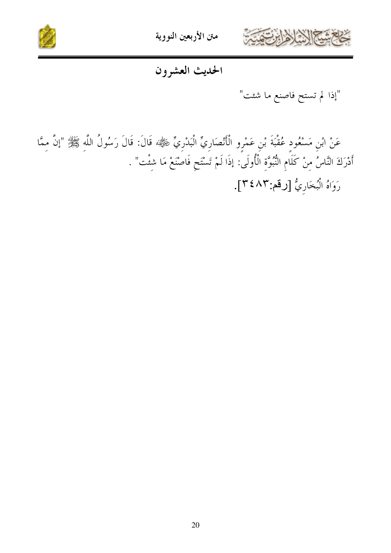



الحديث العشرون

عَنْ ابْنِ مَسْعُودِ عُقْبَةَ بْنِ عَمْرِو الْأَنْصَارِيِّ الْبَدْرِيِّ ﷺ قَالَ: قَالَ رَسُولُ اللَّهِ ﷺ "إنَّ مِمَّا أَدْرَكَ النَّاسُ مِنْ كَلَامِ النُّبُوَّةِ الْأُولَىٰ: إذَا لَمْ تَسْتَحِ فَاصْنَعْ مَا شِئْت" . رَوَاهُ الْبُخَارِيُّ [رقم:٢٤٨٣].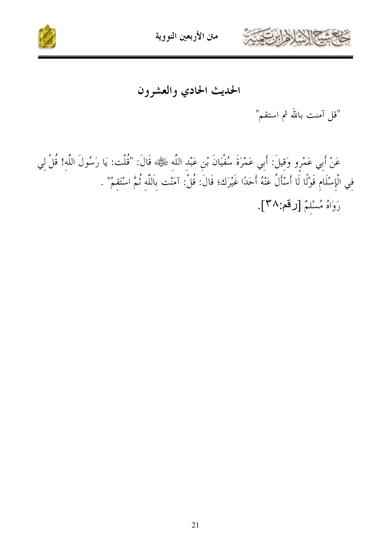



الحديث الحادي والعشرون

"قل آمنت بالله ثم استقم"

عَنْ أَبِي عَمْرِو وَقِيلَ: أَبِي عَمْرَةَ سُفْيَانَ بْنِ عَبْدِ اللَّهِ ﷺ» قَالَ: "قُلْت: يَا رَسُولَ اللَّهِ! قُلْ لِي فِي الْإِسْلَامِ قَوْلًا لَا أَسْأَلُ عَنْهُ أَحَدًا غَيْرَك؛ قَالَ: قُلْ: آمَنْت بِاَللَّهِ ثُمَّ اسْتَقِمْ" . رَوَاهُ مُسْلِمٌ [رقم:٣٨].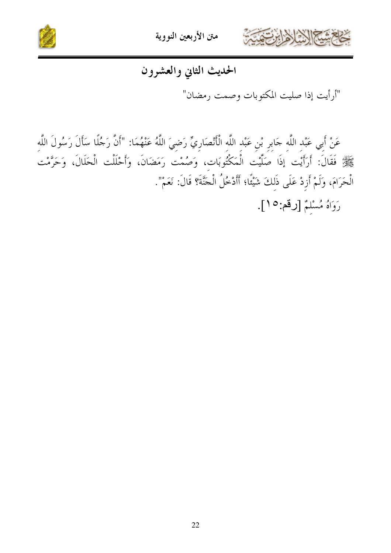



# الحديث الثاني والعشرون

"أرأيت إذا صليت المكتوبات وصمت رمضان"

عَنْ أَبِي عَبْدِ اللَّهِ جَابِرِ بْنِ عَبْدِ اللَّهِ الْأَنْصَارِيِّ رَضِيَ اللَّهُ عَنْهُمَا: "أَنَّ رَجُلًا سَأَلَ رَسُولَ اللَّهِ عَلِيٌّ فَقَالَ: أَرَأَيْت إِذَا صَلَّيْت الْمَكْتُوبَات، وَصُمْت رَمَضَانَ، وَأَحْلَلْت الْحَلَالَ، وَحَرَّمْت الْحَرَامَ، وَلَمْ أَزِدْ عَلَى ذَلكَ شَيْئًا؛ أَأَدْخُلُ الْجَنَّةَ؟ قَالَ: نَعَمْ".

رَوَاهُ مُسْلَمٌ [رقم: ١٥].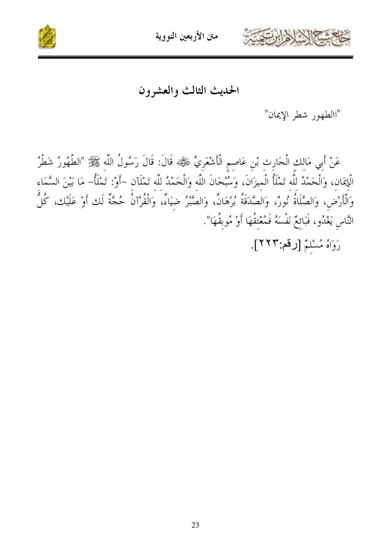



الحديث الثالث والعشرون

"االطهور شطر الإيمان"

عَنْ أَبِي مَالِكِ الْحَارِثِ بْنِ عَاصِمِ الْأَشْعَرِيِّ ﷺ، قَالَ: قَالَ رَسُولُ اللَّهِ ﷺ "الطَّهُورُ شَطْرُ الْإِيمَانِ، وَالْحَمْدُ للَّه تَمْلَأُ الْميزَانَ، وَسُبْحَانَ اللَّه وَالْحَمْدُ للَّه تَمْلَآن –أَوْ: تَمْلَأُ– مَا بَيْنَ السَّمَاء وَالْأَرْضِ، وَالصَّلَاةُ نُورٌ، وَالصَّدَقَةُ بُرْهَانٌ، وَالصَّبْرُ ضِيَاءٌ، وَالْقُرْآنُ حُجَّةٌ لَك أَوْ عَلَيْك، كُلُّ النَّاسِ يَغْدُو، فَبَائِعٌ نَفْسَهُ فَمُعْتقُهَا أَوْ مُوبِقُهَا". رَوَاهُ مُسْلَمٌ [رقم:٢٢٢].

23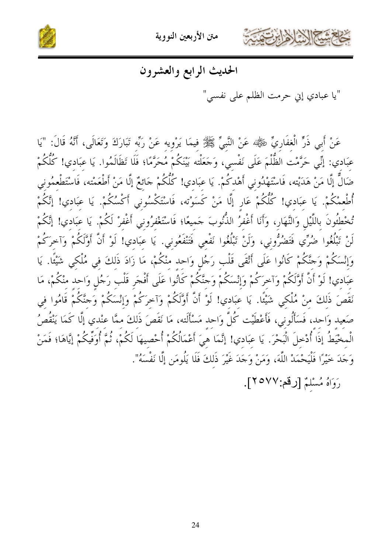

متن الأربعين النووية



## الحديث الرابع والعشرون

"يا عبادي إني حرمت الظلم على نفسي"

عَنْ أَبِي ذَرٍّ الْغفَارِيِّ رَضِّيًّا عَنْ النَّبِيِّ ﷺ فيمَا يَرْويه عَنْ رَبِّه تَبَارَكَ وَتَعَالَى، أَنَّهُ قَالَ: "يَا عِبَادِي: إنِّي حَرَّمْت الظُّلْمَ عَلَى نَفْسي، وَجَعَلْته بَيْنَكُمْ مُحَرَّمًا؛ فَلَا تَظَالَمُوا. يَا عبَادي! كُلّْكُمْ ضَالٌّ إِلَّا مَنْ هَدَيْته، فَاسْتَهْدُوني أَهْدكُمْ. يَا عبَادي! كُلُّكُمْ جَائعٌ إِلَّا مَنْ أَطْعَمْته، فَاسْتَطْعمُوني أُطْعمْكُمْ. يَا عبَادي! كُلّْكُمْ عَارٍ إِلَّا مَنْ كَسَوْته، فَاسْتَكْسُوني أَكْسُكُمْ. يَا عبَادي! إِنَّكُمْ تُخْطُئُونَ بِاللَّيْلِ وَالنَّهَارِ، وَأَنَا أَغْفِرُ النُّنُوبَ جَميعًا؛ فَاسْتَغْفِرُوني أَغْفِرْ لَكُمْ. يَا عبَادي! إنَّكُمْ لَنْ تَبْلُغُوا ضُرِّي فَتَضُرُّوني، وَلَنْ تَبْلُغُوا نَفْعي فَتَنْفَعُوني. يَا عبَادي! لَوْ أَنَّ أَوَّلَكُمْ وَآخرَكُمْ وَإِنْسَكُمْ وَحَنَّكُمْ كَانُوا عَلَى أَتْقَى قَلْب رَجُل وَاحد منْكُمْ، مَا زَادَ ذَلكَ في مُلْكي شَيْئًا. يَا عبَادي! لَوْ أَنَّ أَوَّلَكُمْ وَآخرَكُمْ وَإِنْسَكُمْ وَجنَّكُمْ كَانُوا عَلَى أَفْجَر قَلْب رَجُل وَاحد منْكُمْ، مَا نَقَصَ ذَلكَ منْ مُلْكي شَيْئًا. يَا عبَادي! لَوْ أَنَّ أَوَّلَكُمْ وَآخرَكُمْ وَإِنْسَكُمْ وَجنَّكُمْ قَامُوا في صَعِيد وَاحِد، فَسَأَلُونِي، فَأَعْطَيْت كُلَّ وَاحد مَسْأَلَته، مَا نَقَصَ ذَلكَ ممَّا عنْدي إلَّا كَمَا يَنْقُصُ الْمخْيَطُ إذَا أُدْحلَ الْبَحْرَ. يَا عبَادي! إنَّمَا هيَ أَعْمَالُكُمْ أُحْصِيهَا لَكُمْ، ثُمَّ أُوَفِّيكُمْ إيَّاهَا؛ فَمَنْ وَجَدَ خَيْرًا فَلْيَحْمَدْ اللَّهَ، وَمَنْ وَجَدَ غَيْرَ ذَلكَ فَلَا يَلُومَنِ إِلَّا نَفْسَهُ".

رَوَاهُ مُسْلَمٌ [رقم:٢٥٧٧].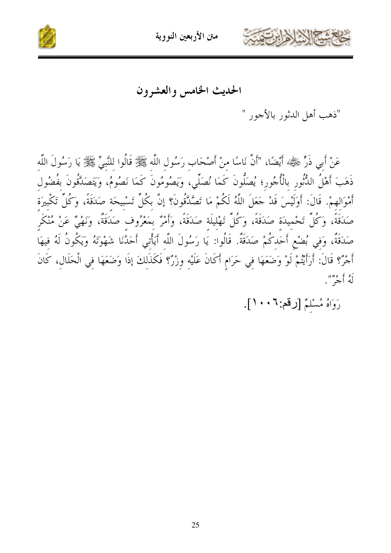



الحديث الخامس والعشرون

"ذهب أهل الدثور بالأجور "

عَنْ أَبِي ذَرٍّ ﷺ؛ أَيْضًا، "أَنَّ نَاسًا مِنْ أَصْحَابٍ رَسُولِ اللَّهِ ﷺ قَالُوا للنَّبِيِّ ﷺ يَا رَسُولَ اللَّه ذَهَبَ أَهْلُ الدُّنُورِ بِالْأُجُورِ؛ يُصَلُّونَ كَمَا نُصَلِّي، وَيَصُومُونَ كَمَا نَصُومُ، وَيَتَصَدَّقُونَ بفُضُول أَمْوَالهمْ. قَالَ: أَوَلَيْسَ قَدْ جَعَلَ اللَّهُ لَكُمْ مَا تَصَّدَّقُونَ؟ إنَّ بكُلِّ تَسْبِيحَة صَدَقَةً، وَكُلِّ تَكْبِيرَة صَدَقَةً، وَكُلِّ تَحْمِيدَة صَدَقَةً، وَكُلِّ تَهْليلَة صَدَقَةً، وأَمْرٌ بمَعْرُوف صَدَقَةٌ، وَنَهْيٌ عَنْ مُنْكَر صَدَقَةٌ، وَفي بُضْعٍ أَحَدكُمْ صَدَقَةٌ. قَالُوا: يَا رَسُولَ اللَّه أَيَأْتي أَحَدُنَا شَهْوَتَهُ وَيَكُونُ لَهُ فيهَا أَجْرٌ؟ قَالَ: أَرَأَيْتُمْ لَوْ وَضَعَهَا فِي حَرَامٍ أَكَانَ عَلَيْهِ وِزْرٌ؟ فَكَذَلكَ إذَا وَضَعَهَا فِي الْحَلَالِ، كَانَ لَهُ أَجْرٌ ".

رَوَاهُ مُسْلَمٌ [رقم: ٦ • • ١].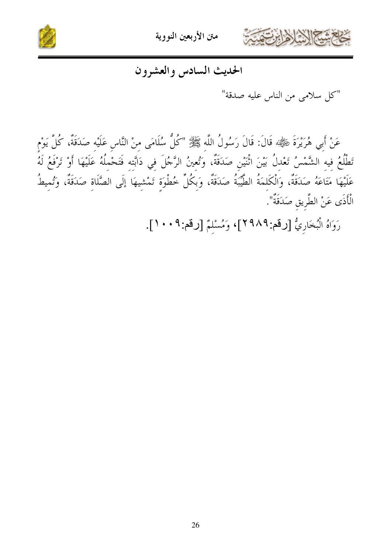



### الحديث السادس والعشرون

"كل سلامي من الناس عليه صدقة"

عَنْ أَبِي هُرَيْرَةَ شِيّْةٍ، قَالَ: قَالَ رَسُولُ اللَّه ﷺ "كُلُّ سُلَامَى منْ النَّاس عَلَيْه صَدَقَةٌ، كُلَّ يَوْم تَطْلُعُ فيه الشَّمْسُ تَعْدلُ بَيْنَ اثْنَيْنِ صَدَقَةٌ، وَتُعِينُ الرَّجُلَ فِي دَابَّتِهِ فَتَحْمِلُهُ عَلَيْهَا أَوْ تَرْفَعُ لَهُ عَلَيْهَا مَتَاعَهُ صَدَقَةٌ، وَالْكَلِمَةُ الطَّيِّبَةُ صَدَقَةٌ، وَبِكُلِّ خُطْوَةٍ تَمْشِيهَا إِلَى الصَّلَاةِ صَدَقَةٌ، وَتُمِيطُ الْأَذَى عَنْ الطَّرِيقِ صَدَقَةٌ".

رَوَاهُ الْبُخَارِيُّ [رقم: ٢٩٨٩]، وَمُسْلِمٌ [رقم: ٢٠٠٩].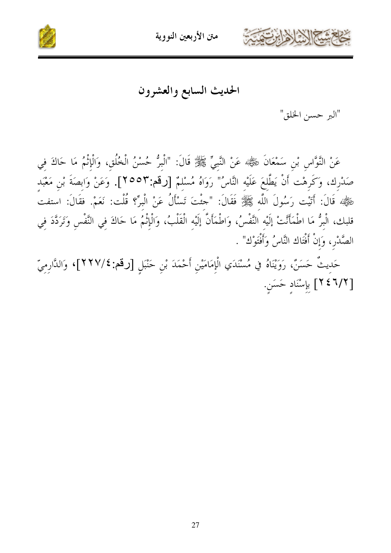



الحديث السابع والعشرون

"البر حسن الخلق"

عَنْ النَّوَّاسِ بْنِ سَمْعَانَ رَضِيٌّ، عَنْ النَّبِيِّ ﷺ قَالَ: "الْبِرُّ حُسْنُ الْخُلُقِ، وَالْإِنْمُ مَا حَاكَ فِي صَدْرِك، وَكَرِهْت أَنْ يَطَّلعَ عَلَيْه النَّاسُ" رَوَاهُ مُسْلمٌ [رقم:٢٥٥٣]. وَعَنْ وَابصَةَ بْن مَعْبَد رَّةٍ ۚ قَالَ: أَتَيْت رَسُولَ اللَّهِ ﷺ فَقَالَ: "جئْتَ تَسْأَلُ عَنْ الْبِرِّ؟ قُلْت: نَعَمْ. فقَالَ: استفت قلبك، البِرُّ مَا اطمَأَنَّتْ إليْه النَّفسُ، وَاطمَأْن إليْه القلبُ، وَالإِثْمُ مَا حَاكَ فِي النَّفسِ وَتَرَدَّدَ فِي الصَّدْر، وَإِنْ أَفْتَاك النَّاسُ وَأَفْتَوْك" .

حَدِيثٌ حَسَنٌ، رَوَيْنَاهُ في مُسْنَدَي الْإِمَامَيْنِ أَحْمَدَ بْنِ حَنْبَلِ [رقم:٢٢٧/٤]، وَالدَّارِمِيِّ [ ٢/٢ ٢ ٢ ] بإسْنَادِ حَسَنٍ.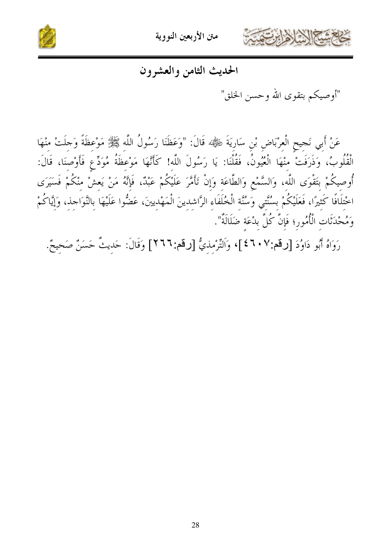

متن الأربعين النووية



### الحديث الثامن والعشرون

"أوصيكم بتقوى الله وحسن الخلق"

عَنْ أَبِي نَجيحٍ الْعِرْبَاضِ بْنِ سَارِيَةَ شِيءٌ» قَالَ: "وَعَظَنَا رَسُولُ اللَّه ﷺ مَوْعظَةً وَجلَتْ منْهَا الْقُلُوبُ، وَذَرَفَتْ منْهَا الْعُيُونُ، فَقُلْنَا: يَا رَسُولَ اللَّه! كَأَنَّهَا مَوْعظَةُ مُوَدِّع فَأَوْصنَا، قَالَ: أُوصيكُمْ بتَقْوَى اللَّه، وَالسَّمْعِ وَالطَّاعَة وَإِنْ تَأْمَّرَ عَلَيْكُمْ عَبْدٌ، فَإِنَّهُ مَنْ يَعشْ منْكُمْ فَسَيَرَى اخْتِلَافًا كَثِيرًا، فَعَلَيْكُمْ بِسُنَّتِي وَسُنَّةِ الْخُلَفَاءِ الرَّاشِدِينَ الْمَهْدِينَ، عَضُّوا عَلَيْهَا بالنَّوَاحِذ، وَإِيَّاكُمْ وَمُحْدَثَات الْأُمُور؛ فَإِنَّ كُلَّ بِدْعَةِ ضَلَالَةٌ".

رَوَاهُ أَبُو دَاوُدَ [رقم:٤٦٠٧]، وَاَلتِّرْمِذِيُّ [رقم:٢٦٦] وَقَالَ: حَدِيثٌ حَسَنٌ صَحِيحٌ.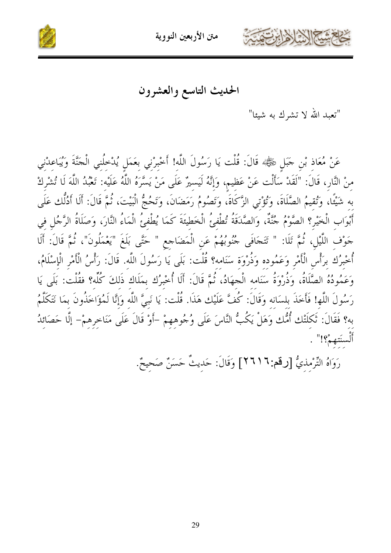



الحديث التاسع والعشرون

"تعبد الله لا تشرك به شيئا"

عَنْ مُعَاذِ بْنِ حَبَلٍ ﷺ قَالَ: قُلْت يَا رَسُولَ اللَّهِ! أَخْبِرْنِي بِعَمَلٍ يُدْخِلُنِي الْحَنَّةَ وَيُبَاعِدْنِي مِنْ النَّارِ، قَالَ: "لَقَدْ سَأَلْت عَنْ عَظِيمٍ، وَإِنَّهُ لَيَسيرٌ عَلَى مَنْ يَسَّرَهُ اللَّهُ عَلَيْه: تَعْبُدُ اللَّهَ لَا تُشْرِكْ بِهِ شَيْئًا، وَتُقِيمُ الصَّلَاةَ، وَتُؤْتِي الزَّكَاةَ، وَتَصُومُ رَمَضَانَ، وَتَحُجُّ الْبَيْتَ، ثُمَّ قَالَ: أَلَا أَدُلُّك عَلَى أَبْوَابِ الْخَيْرِ؟ الصَّوْمُ جُنَّةٌ، وَالصَّدَقَةُ تُطْفِئُ الْخَطِيئَةَ كَمَا يُطْفِئُ الْمَاءُ النَّارَ، وَصَلَاةُ الرَّجُلِ فِي جَوْف اللَّيْل، ثُمَّ تَلَا: " تَتَجَافَى جُنُوبُهُمْ عَنِ الْمَضَاجعِ " حَتَّى بَلَغَ "يَعْمَلُونَ"، ثُمَّ قَالَ: أَلَا أُخْبِرُك بِرَأْسِ الْأَمْرِ وَعَمُودِهِ وَذُرْوَة سَنَامِه؟ قُلْت: بَلَى يَا رَسُولَ اللَّه. قَالَ: رَأْسُ الْأَمْر الْإسْلَامُ، وَعَمُودُهُ الصَّلَاةُ، وَذُرْوَةُ سَنَامه الْجهَادُ، ثُمَّ قَالَ: أَلَا أُخْبِرُك بمَلَاك ذَلكَ كُلّه؟ فقُلْت: بَلَى يَا رَسُولَ اللَّهِ! فَأَخَذَ بلسَانه وَقَالَ: كُفَّ عَلَيْك هَذَا. قُلْت: يَا نَبيَّ اللَّه وَإِنَّا لَمُؤَاخَذُونَ بمَا نَتَكَلَّمُ به؟ فَقَالَ: تَكَلَّتْك أُمُّك وَهَلْ يَكُبُّ النَّاسَ عَلَى وُجُوهِهِمْ –أَوْ قَالَ عَلَى مَنَاخِرِهِمْ– إلَّا حَصَائِدُ أَلْسِنَتِهِمْ؟!".

رَوَاهُ التِّرْمذيُّ [رقم:٢٦١٦] وَقَالَ: حَديثٌ حَسَنٌ صَحيحٌ.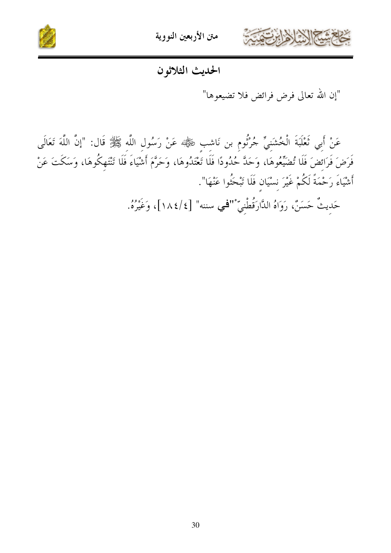



#### الحديث الثلاثون

"إن الله تعالى فرض فرائض فلا تضيعوها"

عَنْ أَبِي تَعْلَبَةَ الْخُشَنِيِّ جُرْنُومٍ بن نَاشِبٍ رَفِيُّةٍ» عَنْ رَسُول اللَّه ﷺ قَال: "إِنَّ اللَّهَ تَعَالَى فَرَضَ فَرَائضَ فَلَا تُضَيِّعُوهَا، وَحَدَّ حُدُودًا فَلَا تَعْتَدُوهَا، وَحَرَّمَ أَشْيَاءَ فَلَا تَنْتَهِكُوهَا، وَسَكَتَ عَنْ أَشْيَاءَ رَحْمَةً لَكُمْ غَيْرَ نسْيَان فَلَا تَبْحَثُوا عَنْهَا".

حَديثٌ حَسَنٌ، رَوَاهُ الدَّارَقُطْنِيِّ "'في سننه" [٤/١٨٤]، وَغَيْرُهُ.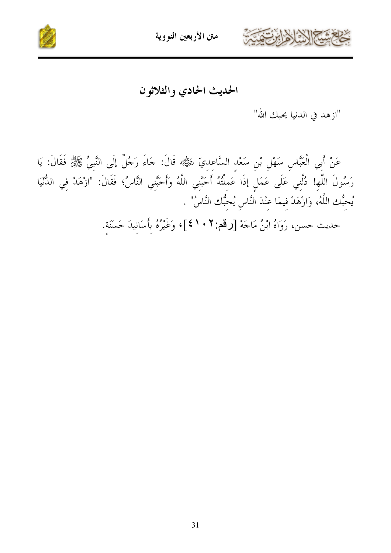



الحديث الحادي والثلاثون

"ازهد في الدنيا يحبك الله"

عَنْ أَبِي الْعَبَّاسِ سَهْلِ بْنِ سَعْدِ السَّاعِدِيِّ ﷺ، قَالَ: جَاءَ رَجُلٌ إِلَى النَّبِيِّ ﷺ فَقَالَ: يَا رَسُولَ اللَّهِ! دُلَّنِي عَلَى عَمَلٍ إذَا عَمِلْتُهُ أَحَبَّنِي اللَّهُ وَأَحَبَّنِي النَّاسُ؛ فَقَالَ: "ازْهَدْ فِي الدُّنْيَا يُحبُّك اللَّهُ، وَازْهَدْ فيمَا عنْدَ النَّاس يُحبُّك النَّاسُ" . حديث حسن، رَوَاهُ ابْنُ مَاجَهْ [رقم: ٢ • ١ ٤]، وَغَيْرُهُ بِأَسَانِيدَ حَسَنَة.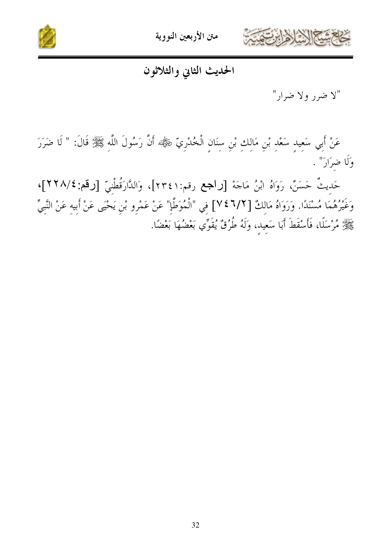



الحديث الثانى والثلاثون

"لا ضرر ولا ضرار"

عَنْ أَبِي سَعِيدِ سَعْدِ بْنِ مَالِكِ بْنِ سِنَانِ الْخُدْرِيِّ ﷺ أَنَّ رَسُولَ اللَّهِ ﷺ قَالَ: " لَا ضَرَرَ وَلَا ضرَارَ" .

حَديثٌ حَسَنٌ، رَوَاهُ ابْنُ مَاجَهْ [راجع رقم:٢٣٤١]، وَالدَّارَقُطْنيّ [رقم:٢٢٨/٤]، وَغَيْرُهُمَا مُسْنَدًا. وَرَوَاهُ مَالكٌ [1/7 ٢٤] في "الْمُوَطَّإِ" عَنْ عَمْرِو بْنِ يَحْيَى عَنْ أبيه عَنْ النَّبيِّ طَلِيهِ مُرْسَلًا، فَأَسْقَطَ أَبَا سَعِيدٍ، وَلَهُ طُرُقٌ يُقَوِّي بَعْضُهَا بَعْضًا.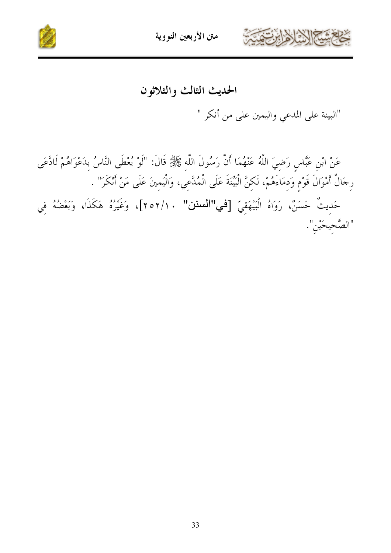



### الحديث الثالث والثلاثون

"البينة على المدعي واليمين على من أنكر "

عَنْ ابْنِ عَبَّاسٍ رَضِيَ اللَّهُ عَنْهُمَا أَنَّ رَسُولَ اللَّهِ ﷺ قَالَ: "لَوْ يُعْطَى النَّاسُ بِدَعْوَاهُمْ لَادَّعَى رِجَالٌ أَمْوَالَ قَوْمٍ وَدِمَاءَهُمْ، لَكِنَّ الْبَيِّنَةَ عَلَى الْمُلَّعِي، وَالْيَمِينَ عَلَى مَنْ أَنْكَرَ" . حَدِيثٌ حَسَنٌ، رَوَاهُ الْبَيْهَقِيّ [في"المسنن" ٢٥٢/١٠]، وَغَيْرُهُ هَكَذَا، وَبَعْضُهُ فِي "الصَّحِيحَيْنِ".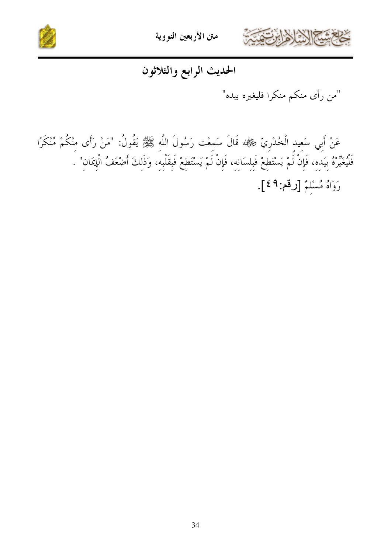



الحديث الرابع والثلاثون

"من رأى منكم منكرا فليغيره بيده"

عَنْ أَبِي سَعِيدِ الْخُدْرِيّ ﷺ قَالَ سَمعْت رَسُولَ اللَّهِ ﷺ يَقُولُ: "مَنْ رَأَى مِنْكُمْ مُنْكَرًا فَلْيُغَيِّرْهُ بِيَدِهِ، فَإِنْ لَمْ يَسْتَطِعْ فَبِلِسَانِهِ، فَإِنْ لَمْ يَسْتَطِعْ فَبِقَلْبِهِ، وَذَلِكَ أَضْعَفُ الْإِيمَانِ" . رَوَاهُ مُسْلَمٌ [رقم: ٤٩].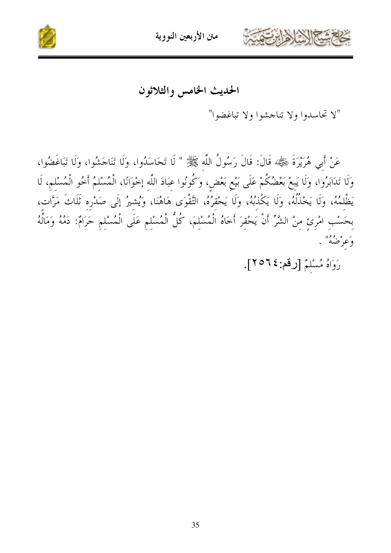



الحديث الخامس والثلاثون

"لا تحاسدوا ولا تناجشوا ولا تباغضوا"

عَنْ أَبِي هُرَيْرَةَ شَيْلِيَّة قَالَ: قَالَ رَسُولُ اللَّهِ ﷺ " لَا تَحَاسَدُوا، وَلَا تَنَاجَشُوا، وَلَا تَبَاغَضُوا، وَلَا تَدَابَرُوا، وَلَا يَبِعْ بَعْضُكُمْ عَلَى بَيْعِ بَعْضٍ، وَكُونُوا عِبَادَ اللَّه إخْوَانًا، الْمُسْلمُ أخُو الْمُسْلم، لَا يَظْلَمُهُ، وَلَا يَخْذُلُهُ، وَلَا يَكْذُبُهُ، وَلَا يَحْقرُهُ، التَّقْوَى هَاهُنَا، وَيُشِيرُ إِلَى صَدْرِهِ ثَلَاثَ مَرَّاتٍ، بِحَسْبِ امْرِئِ مِنْ الشَّرِّ أَنْ يَحْقِرَ أَخَاهُ الْمُسْلِمَ، كُلُّ الْمُسْلِمِ عَلَى الْمُسْلِمِ حَرَامٌ: دَمُهُ وَمَالُهُ وَعَرْضُهُ" .

رَوَاهُ مُسْلَمٌ [رقم: ٢٥٢٤].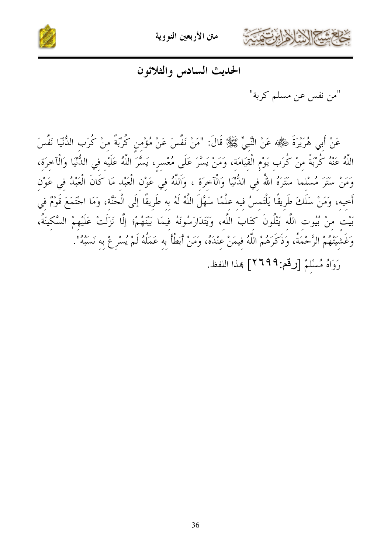

متن الأربعين النووية



الحديث السادس والثلاثون

"من نفس عن مسلم كربة"

عَنْ أَبِي هُرَيْرَةَ رَبِّيْهِ عَنْ النَّبِيِّ ﷺ قَالَ: "مَنْ نَفَّسَ عَنْ مُؤْمن كُرْبَةً منْ كُرَب الدُّنْيَا نَفَّسَ اللَّهُ عَنْهُ كُرْبَةً مِنْ كُرَبٍ يَوْمِ الْقِيَامَةِ، وَمَنْ يَسَّرَ عَلَى مُعْسرٍ، يَسَّرَ اللَّهُ عَلَيْه في الدُّنْيَا وَالْآخرَة، وَمَنْ سَتَرَ مُسْلما سَتَرَهُ اللهُ في الدُّنْيَا وَالْآخرَة ، وَاَللَّهُ في عَوْن الْعَبْد مَا كَانَ الْعَبْدُ في عَوْن أَخيه، وَمَنْ سَلَكَ طَرِيقًا يَلْتَمسُ فيه علْمًا سَهَّلَ اللَّهُ لَهُ به طَرِيقًا إِلَى الْحَنَّة، وَمَا اجْتَمَعَ قَوْمٌ في بَيْت منْ بُيُوت اللَّه يَتْلُونَ كتَابَ اللَّه، وَيَتَدَارَسُونَهُ فِيمَا بَيْنَهُمْ؛ إِلَّا نَزَلَتْ عَلَيْهِمْ السَّكِينَةُ، وَغَشِيَتْهُمْ الرَّحْمَةُ، وَذَكَرَهُمْ اللَّهُ فيمَنْ عنْدَهُ، وَمَنْ أَبَطْأَ به عَمَلُهُ لَمْ يُسْرِعْ به نَسَبُهُ".

رَوَاهُ مُسْلَمٌ [رقم: ٢٦٩٩] هذا اللفظ.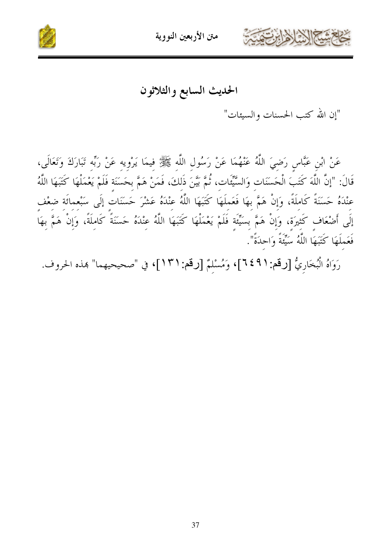



الحديث السابع والثلاثون

"إن الله كتب الحسنات والسيئات"

عَنْ ابْنِ عَبَّاسٍ رَضِيَ اللَّهُ عَنْهُمَا عَنْ رَسُولِ اللَّهِ ﷺ فِيمَا يَرْوِيه عَنْ رَبِّه تَبَارَكَ وَتَعَالَى، قَالَ: "إنَّ اللَّهَ كَتَبَ الْحَسَنَات وَالسَّيِّئَات، ثُمَّ بَيَّنَ ذَلكَ، فَمَنْ هَمَّ بحَسَنَة فَلَمْ يَعْمَلْهَا كَتَبَهَا اللَّهُ عنْدَهُ حَسَنَةً كَاملَةً، وَإِنْ هَمَّ بِهَا فَعَملَهَا كَتَبَهَا اللَّهُ عِنْدَهُ عَشْرَ حَسَنَات إِلَى سَبْعمائَة ضعْف إِلَى أَصْعَافٍ كَثِيرَةٍ، وَإِنْ هَمَّ بِسَيِّئَةٍ فَلَمْ يَعْمَلْهَا كَتَبَهَا اللَّهُ عِنْدَهُ حَسَنَةً كَامِلَةً، وَإِنْ هَمَّ بِهَا فَعَملَهَا كَتَبَهَا اللَّهُ سَيِّئَةً وَاحدَةً".

رَوَاهُ الْبُخَارِيُّ [رقم:٩١٤٩]، وَمُسْلِمٌ [رقم:٩١٦]، في "صحيحيهما" هذه الحروف.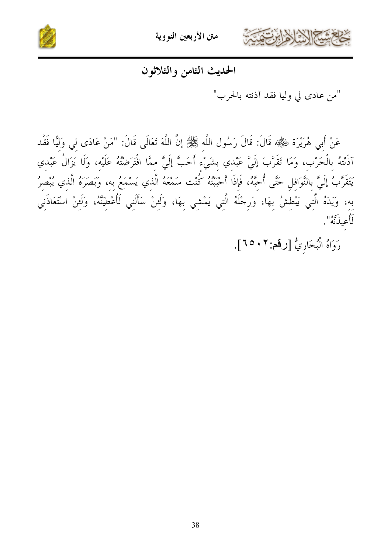



الحديث الثامن والثلاثون

"من عادي لي وليا فقد آذنته بالحرب"

عَنْ أَبِي هُرَيْرَة ڞِيّْلِيُّهُ قَالَ: قَالَ رَسُول اللَّه ﷺ إنَّ اللَّهَ تَعَالَى قَالَ: "مَنْ عَادَى لي وَليًّا فَقْد آذَنْتهُ بِالْحَرْبِ، وَمَا تَقَرَّبَ إِلَيَّ عَبْدي بِشَيْءِ أَحَبَّ إِلَيَّ ممَّا افْتَرَضْتُهُ عَلَيْه، وَلَا يَزَالُ عَبْدي يَتَقَرَّبُ إِلَيَّ بِالنَّوَافلِ حَتَّى أُحبَّهُ، فَإِذَا أَحْبَبْتُهُ كُنْت سَمْعَهُ الَّذي يَسْمَعُ به، وَبَصَرَهُ الَّذي يُبْصرُ به، وَيَدَهُ الَّتِي يَبْطِشُ بِهَا، وَرِجْلَهُ الَّتِي يَمْشِي بِهَا، وَلَئِنْ سَأَلَنِي لَأُعْطِيَنَّهُ، وَلَئِنْ اسْتَعَاذَنِي را<br>لأعيذ <sub>تَ</sub>بَّ<sup>و</sup>".

رَوَاهُ الْبُخَارِيُّ [رقم:٢٠٥٠].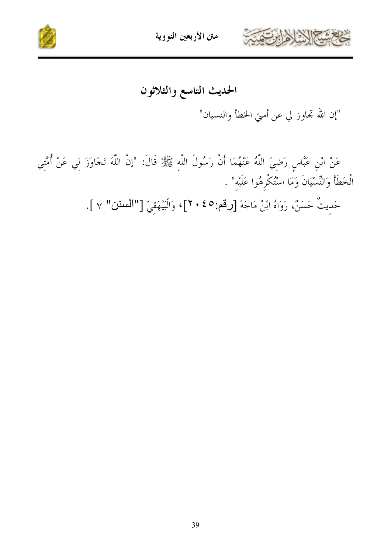



## الحديث التاسع والثلاثون

"إن الله تحاوز لي عن أمتي الخطأ والنسيان"

عَنْ ابْنِ عَبَّاسٍ رَضِيَ اللَّهُ عَنْهُمَا أَنَّ رَسُولَ اللَّهِ ﷺ قَالَ: "إنَّ اللَّهَ تَجَاوَزَ لِي عَنْ أُمَّتِي الْخَطَأَ وَالنِّسْيَانَ وَمَا اسْتُكْرِهُوا عَلَيْهِ" .

حَدِيثٌ حَسَنٌ، رَوَاهُ ابْنُ مَاجَهْ [رقم:٤٥ ، ٢]، وَالْبَيْهَقِيّ ["السنن" ٧ ].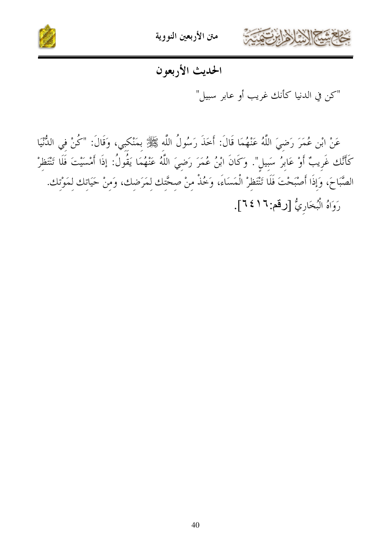

متن الأربعين النووية



## الحديث الأربعون

"كن في الدنيا كأنك غريب أو عابر سبيل"

عَنْ ابْنِ عُمَرَ رَضيَ اللَّهُ عَنْهُمَا قَالَ: أَخَذَ رَسُولُ اللَّه ﷺ بمَنْكبي، وَقَالَ: "كُنْ في الدُّنْيَا كَأَنَّك غَرِيبٌ أَوْ عَابِرُ سَبِيلِ". وَكَانَ ابْنُ عُمَرَ رَضِيَ اللَّهُ عَنْهُمَا يَقُولُ: إذَا أَمْسَيْتَ فَلَا تَنْتَظرْ الصَّبَاحَ، وَإِذَا أَصْبَحْتَ فَلَا تَنْتَظِرْ الْمَسَاءَ، وَخُذْ مِنْ صِحَّتِك لِمَرَضِك، وَمِنْ حَيَاتِك لِمَوْتِك. رَوَاهُ الْبُخَارِيُّ [رقم: ١٦٤٦].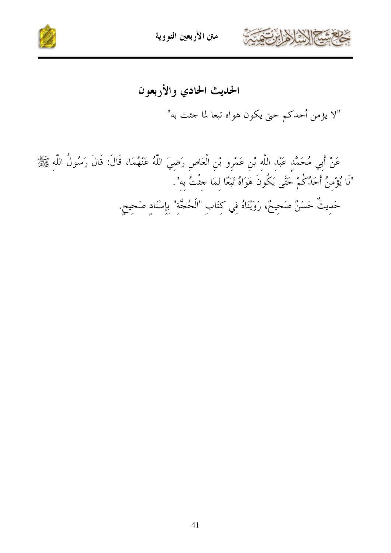



## الحديث الحادي والأربعون

"لا يؤمن أحدكم حتى يكون هواه تبعا لما جئت به"

عَنْ أَبِي مُحَمَّدٍ عَبْدِ اللَّهِ بْنِ عَمْرِو بْنِ الْعَاصِ رَضِيَ اللَّهُ عَنْهُمَا، قَالَ: قَالَ رَسُولُ اللَّه ﷺ "لَا يُؤْمِنُ أَحَدُكُمْ حَتَّى يَكُونَ هَوَاهُ تَبَعًا لِمَا جئتُ بِه". حَدِيثٌ حَسَنٌ صَحِيحٌ، رَوَيْنَاهُ فِي كِتَابِ "الْحُجَّةِ" بِإِسْنَادِ صَحِيحٍ.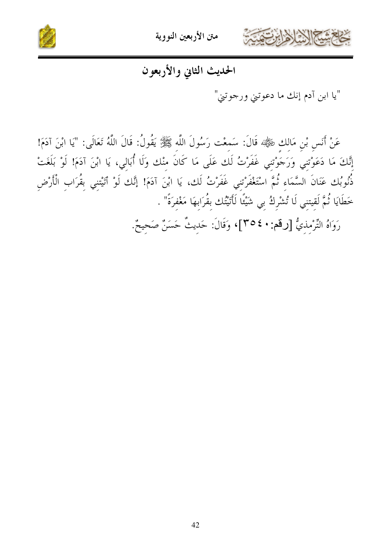



## الحديث الثانى والأربعون

"يا ابن آدم إنك ما دعوتني ورجوتني"

عَنْ أَنَسٍ بْنِ مَالِكٍ ضَيْلَةٍ، قَالَ: سَمعْت رَسُولَ اللَّه ﷺ يَقُولُ: قَالَ اللَّهُ تَعَالَى: "يَا ابْنَ آدَمَ! إِنَّكَ مَا دَعَوْتنِي وَرَجَوْتنِي غَفَرْتُ لَك عَلَى مَا كَانَ منْك وَلَا أُبَالي، يَا ابْنَ آدَمَ! لَوْ بَلَغَتْ ذُّنُوبُك عَنَانَ السَّمَاء ثُمَّ اسْتَغْفَرْتني غَفَرْتُ لَك، يَا ابْنَ آدَمَ! إِنَّك لَوْ أَتَيْتنِي بِقُرَاب الْأَرْضِ خطَايَا ثُمَّ لَقيتني لَا تُشْركُ بي شَيْئًا لَأَتَيْتُك بقُرَابهَا مَغْفرَةً" .

رَوَاهُ التِّرْمذيُّ [رقم: • ٤ ٣٥]، وَقَالَ: حَديثٌ حَسَنٌ صَحيحٌ.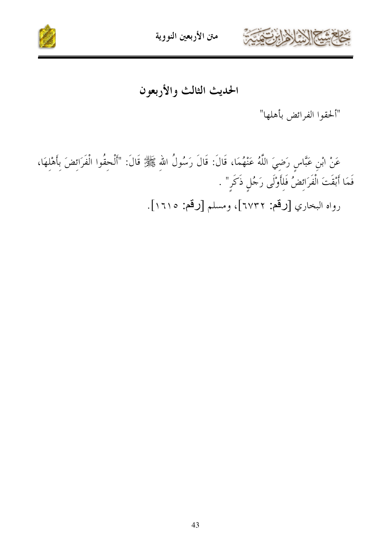



الحديث الثالث والأربعون

"ألحقوا الفرائض بأهلها"

عَنْ ابْنِ عَبَّاسٍ رَضِيَ اللَّهُ عَنْهُمَا، قَالَ: قَالَ رَسُولُ اللهِ ﷺ قَالَ: "أَلْحِقُوا الْفَرَائِضَ بِأَهْلِهَا، فَمَا أَبْقَتَ الْفَرَائِضُ فَلِأَوْلَى رَجُلٍ ذَكَرٍ" . رواه البخاري [رقم: ٦٧٣٢]، ومسلم [رقم: ١٦١٥].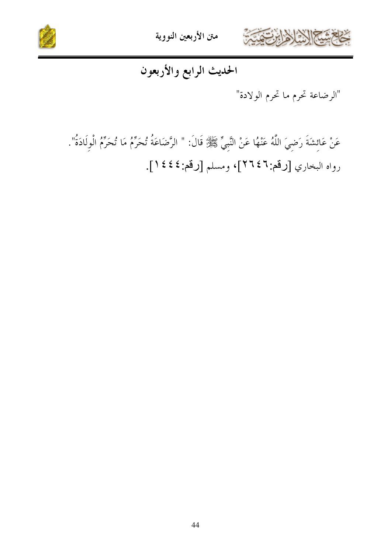



## الحديث الرابع والأربعون

"الرضاعة تحرم ما تحرم الولادة"

عَنْ عَائِشَةَ رَضِيَ اللَّهُ عَنْهُا عَنْ النَّبِيِّ ﷺ قَالَ: " الرَّضَاعَةُ تُحَرِّمُ مَا تُحَرِّمُ الْوِلَادَةُ". رواه البخاري [رقم:٢٦٤٦]، ومسلم [رقم:٤٤٤].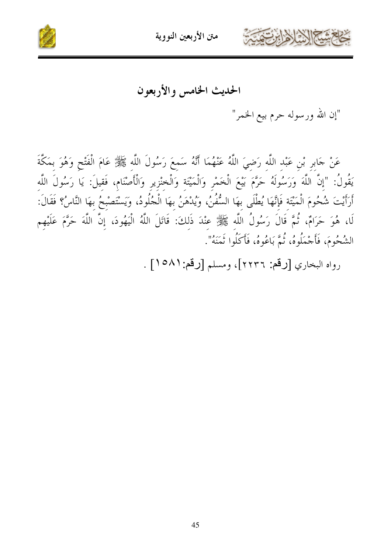



الحديث الخامس والأربعون

"إن الله ورسوله حرم بيع الخمر"

عَنْ جَابِرٍ بْنِ عَبْدِ اللَّهِ رَضِيَ اللَّهُ عَنْهُمَا أَنَّهُ سَمِعَ رَسُولَ اللَّهِ ﷺ عَامَ الْفَتْحِ وَهُوَ بِمَكَّةَ يَقُولُ: "إنَّ اللَّهَ وَرَسُولَهُ حَرَّمَ بَيْعَ الْخَمْرِ وَالْمَيْتَة وَالْخنْزِيرِ وَالْأَصْنَامِ، فَقيلَ: يَا رَسُولَ اللَّه أَرَأَيْتَ شُحُومَ الْمَيْتَة فَإِنَّهَا يُطْلَى بهَا السُّفُنُ، وَيُدْهَنُ بهَا الْجُلُودُ، وَيَسْتَصْبحُ بهَا النَّاسُ؟ فَقَالَ: لَا، هُوَ حَرَامٌ، ثُمَّ قَالَ رَسُولُ اللَّه ﷺ عِنْدَ ذَلِكَ: قَاتَلَ اللَّهُ الْيَهُودَ، إِنَّ اللَّهَ حَرَّمَ عَلَيْهِم الشُّحُومَ، فَأَجْمَلُوهُ، نُمَّ بَاعُوهُ، فَأَكَلُوا نَمَنَهُ".

رواه البخاري [رقم: ٢٢٣٦]، ومسلم [رقم: ٥٨١] .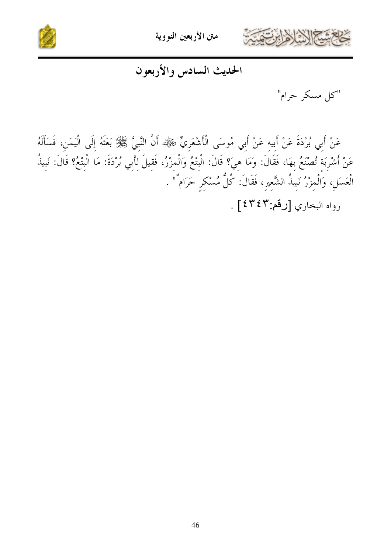



الحديث السادس والأربعون

"كل مسكر حرام"

عَنْ أَبِي بُرْدَةَ عَنْ أَبِيهِ عَنْ أَبِي مُوسَى الْأَشْعَرِيِّ رَخَلِيَّهُم أَنَّ النَّبِيَّ ﷺ بَعَثَهُ إِلَى الْيَمَنِ، فَسَأَلَهُ عَنْ أَشْرِبَةِ تُصْنَعُ بِهَا، فَقَالَ: وَمَا هِيَ؟ قَالَ: الْبِتْعُ وَالْمِزْرُ، فَقِيلَ لِأَبِي بُرْدَةَ: مَا الْبِتْعُ؟ قَالَ: نَبِيذُ الْعَسَلِ، وَالْمِزْرُ نَبِيذُ الشَّعِيرِ، فَقَالَ: كُلُّ مُسْكِرٍ حَرَامٌ" . رواه البخاري [رقم:٤٣٤٣] .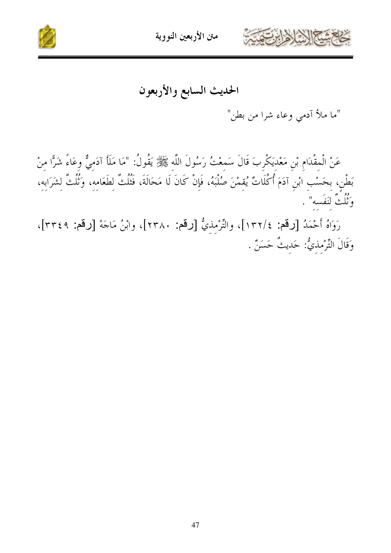



الحديث السابع والأربعون

"ما ملأ آدمي وعاء شرا من بطن"

عَنْ الْمِقْدَامِ بْنِ مَعْدِيَكْرِبَ قَالَ سَمِعْتُ رَسُولَ اللَّهِ ﷺ يَقُولُ: "مَا مَلَأَ آدَمِيٌّ وِعَاءً شَرَّا مِنْ بَطْنِ، بِحَسْبِ ابْنِ آدَمَ أُكُلَاتٌ يُقِمْنَ صُلْبَهُ، فَإِنْ كَانَ لَا مَحَالَةَ، فَتُلُتُّ لِطَعَامِهِ، وَثُلُثٌ لِشَرَابِهِ، وَثُلُثٌ لنَفَسه" .

رَوَاهُ أَحْمَدُ [رقم: ١٣٢/٤]، والتِّرْمِذيُّ [رقم: ٢٣٨٠]، وابْنُ مَاجَة [رقم: ٣٣٤٩]، وَقَالَ التِّرْمذيُّ: حَديثٌ حَسَنٌ .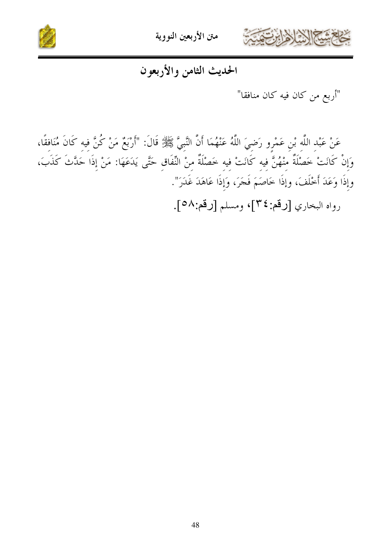



### الحديث الثامن والأربعون

"أربع من كان فيه كان منافقا"

عَنْ عَبْد اللَّه بْن عَمْرو رَضيَ اللَّهُ عَنْهُمَا أَنَّ النَّبيَّ ﷺ قَالَ: "أَرْبَعٌ مَنْ كُنَّ فيه كَانَ مُنَافقًا، وَإِنْ كَانَتْ خَصْلَةٌ مِنْهُنَّ فِيهِ كَانَتْ فِيهِ خَصْلَةٌ مِنْ النِّفَاقِ حَتَّى يَدَعَهَا: مَنْ إِذَا حَدَّثَ كَذَبَ، وإِذَا وَعَدَ أَخْلَفَ، وإِذَا خَاصَمَ فَجَرَ، وَإِذَا عَاهَدَ غَدَرَ".

رواه البخاري [رقم:٣٤]، ومسلم [رقم:٥٨].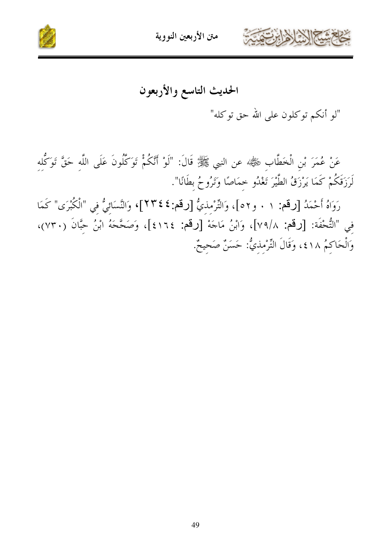



الحديث التاسع والأربعون

"لو أنكم توكلون على الله حق توكله"

عَنْ عُمَرَ بْنِ الْخَطَّابِ رَضِّيًّا عن النبي ﷺ قَالَ: "لَوْ أَنَّكُمْ تَوَكَّلُونَ عَلَى اللَّه حَقَّ تَوَكَّله لَرَزَقَكُمْ كَمَا يَرْزَقُ الطَّيْرَ تَغْدُو خمَاصًا وَتَرُوحُ بطَانًا".

رَوَاهُ أَحْمَدُ [رقم: ١ . و٢٥]، وَالتِّرْمذيُّ [رقم:٤٤٣]، وَالنَّسَائيُّ في "الْكُبْرَى" كَمَا في "التُّحْفَة: [رقم: ٧٩/٨]، وَابْنُ مَاجَهْ [رقم: ٤١٦٤]، وَصَحَّحَهُ ابْنُ حِبَّانَ (٧٣٠)، وَالْحَاكُمُ ٤١٨، وَقَالَ التِّرْمذيُّ: حَسَنٌ صَحيحٌ.